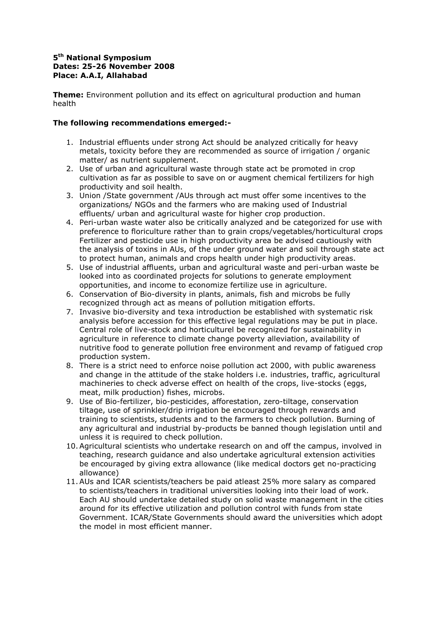## **5 th National Symposium Dates: 25-26 November 2008 Place: A.A.I, Allahabad**

**Theme:** Environment pollution and its effect on agricultural production and human health

## **The following recommendations emerged:-**

- 1. Industrial effluents under strong Act should be analyzed critically for heavy metals, toxicity before they are recommended as source of irrigation / organic matter/ as nutrient supplement.
- 2. Use of urban and agricultural waste through state act be promoted in crop cultivation as far as possible to save on or augment chemical fertilizers for high productivity and soil health.
- 3. Union /State government /AUs through act must offer some incentives to the organizations/ NGOs and the farmers who are making used of Industrial effluents/ urban and agricultural waste for higher crop production.
- 4. Peri-urban waste water also be critically analyzed and be categorized for use with preference to floriculture rather than to grain crops/vegetables/horticultural crops Fertilizer and pesticide use in high productivity area be advised cautiously with the analysis of toxins in AUs, of the under ground water and soil through state act to protect human, animals and crops health under high productivity areas.
- 5. Use of industrial affluents, urban and agricultural waste and peri-urban waste be looked into as coordinated projects for solutions to generate employment opportunities, and income to economize fertilize use in agriculture.
- 6. Conservation of Bio-diversity in plants, animals, fish and microbs be fully recognized through act as means of pollution mitigation efforts.
- 7. Invasive bio-diversity and texa introduction be established with systematic risk analysis before accession for this effective legal regulations may be put in place. Central role of live-stock and horticulturel be recognized for sustainability in agriculture in reference to climate change poverty alleviation, availability of nutritive food to generate pollution free environment and revamp of fatigued crop production system.
- 8. There is a strict need to enforce noise pollution act 2000, with public awareness and change in the attitude of the stake holders i.e. industries, traffic, agricultural machineries to check adverse effect on health of the crops, live-stocks (eggs, meat, milk production) fishes, microbs.
- 9. Use of Bio-fertilizer, bio-pesticides, afforestation, zero-tiltage, conservation tiltage, use of sprinkler/drip irrigation be encouraged through rewards and training to scientists, students and to the farmers to check pollution. Burning of any agricultural and industrial by-products be banned though legislation until and unless it is required to check pollution.
- 10.Agricultural scientists who undertake research on and off the campus, involved in teaching, research guidance and also undertake agricultural extension activities be encouraged by giving extra allowance (like medical doctors get no-practicing allowance)
- 11.AUs and ICAR scientists/teachers be paid atleast 25% more salary as compared to scientists/teachers in traditional universities looking into their load of work. Each AU should undertake detailed study on solid waste management in the cities around for its effective utilization and pollution control with funds from state Government. ICAR/State Governments should award the universities which adopt the model in most efficient manner.